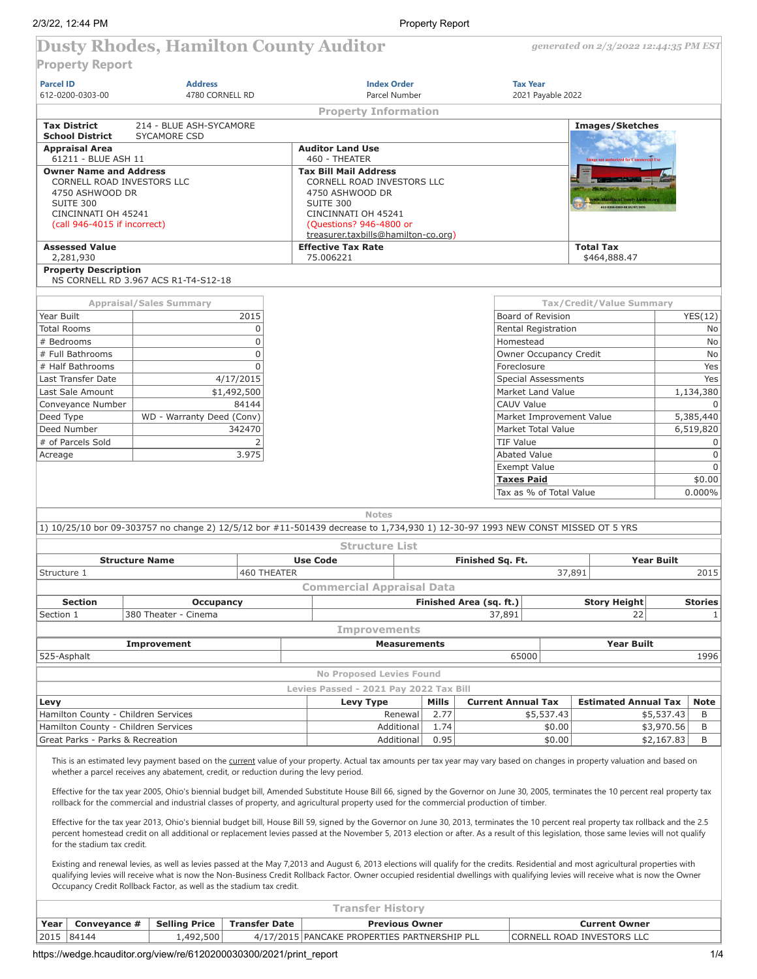*generated on 2/3/2022 12:44:35 PM EST*

# **Property Report**

**Dusty Rhodes, Hamilton County Auditor**

|                                               | <b>Address</b>                                                                                                                                                                                                                                                                                                                                                                                                                                     |                      | <b>Index Order</b>                           |                       | <b>Tax Year</b>                  |                   |                                                    |                |  |  |
|-----------------------------------------------|----------------------------------------------------------------------------------------------------------------------------------------------------------------------------------------------------------------------------------------------------------------------------------------------------------------------------------------------------------------------------------------------------------------------------------------------------|----------------------|----------------------------------------------|-----------------------|----------------------------------|-------------------|----------------------------------------------------|----------------|--|--|
| 612-0200-0303-00                              | 4780 CORNELL RD                                                                                                                                                                                                                                                                                                                                                                                                                                    |                      | Parcel Number                                |                       |                                  | 2021 Payable 2022 |                                                    |                |  |  |
|                                               |                                                                                                                                                                                                                                                                                                                                                                                                                                                    |                      | <b>Property Information</b>                  |                       |                                  |                   |                                                    |                |  |  |
| <b>Tax District</b><br><b>School District</b> | 214 - BLUE ASH-SYCAMORE<br>SYCAMORE CSD                                                                                                                                                                                                                                                                                                                                                                                                            |                      |                                              |                       |                                  |                   | <b>Images/Sketches</b>                             |                |  |  |
| <b>Appraisal Area</b>                         |                                                                                                                                                                                                                                                                                                                                                                                                                                                    |                      | <b>Auditor Land Use</b>                      |                       |                                  |                   |                                                    |                |  |  |
| 61211 - BLUE ASH 11                           |                                                                                                                                                                                                                                                                                                                                                                                                                                                    |                      | 460 - THEATER                                |                       |                                  |                   | authorized for Cor                                 |                |  |  |
| <b>Owner Name and Address</b>                 |                                                                                                                                                                                                                                                                                                                                                                                                                                                    |                      | <b>Tax Bill Mail Address</b>                 |                       |                                  |                   |                                                    |                |  |  |
| CORNELL ROAD INVESTORS LLC                    |                                                                                                                                                                                                                                                                                                                                                                                                                                                    |                      | CORNELL ROAD INVESTORS LLC                   |                       |                                  |                   |                                                    |                |  |  |
| 4750 ASHWOOD DR                               |                                                                                                                                                                                                                                                                                                                                                                                                                                                    |                      | 4750 ASHWOOD DR                              |                       |                                  |                   |                                                    |                |  |  |
| SUITE 300<br>CINCINNATI OH 45241              |                                                                                                                                                                                                                                                                                                                                                                                                                                                    |                      | SUITE 300<br>CINCINNATI OH 45241             |                       |                                  |                   |                                                    |                |  |  |
| (call 946-4015 if incorrect)                  |                                                                                                                                                                                                                                                                                                                                                                                                                                                    |                      | (Questions? 946-4800 or                      |                       |                                  |                   |                                                    |                |  |  |
|                                               |                                                                                                                                                                                                                                                                                                                                                                                                                                                    |                      | treasurer.taxbills@hamilton-co.org)          |                       |                                  |                   |                                                    |                |  |  |
| <b>Assessed Value</b>                         |                                                                                                                                                                                                                                                                                                                                                                                                                                                    |                      | <b>Effective Tax Rate</b>                    |                       |                                  |                   | <b>Total Tax</b>                                   |                |  |  |
| 2,281,930<br><b>Property Description</b>      |                                                                                                                                                                                                                                                                                                                                                                                                                                                    |                      | 75.006221                                    |                       |                                  |                   | \$464,888.47                                       |                |  |  |
|                                               | NS CORNELL RD 3.967 ACS R1-T4-S12-18                                                                                                                                                                                                                                                                                                                                                                                                               |                      |                                              |                       |                                  |                   |                                                    |                |  |  |
|                                               | <b>Appraisal/Sales Summary</b>                                                                                                                                                                                                                                                                                                                                                                                                                     |                      |                                              |                       |                                  |                   | Tax/Credit/Value Summary                           |                |  |  |
| Year Built                                    |                                                                                                                                                                                                                                                                                                                                                                                                                                                    | 2015                 |                                              |                       | Board of Revision                |                   |                                                    | YES(12)        |  |  |
| Total Rooms                                   |                                                                                                                                                                                                                                                                                                                                                                                                                                                    | $\mathbf 0$          |                                              |                       |                                  |                   |                                                    | No             |  |  |
| # Bedrooms                                    |                                                                                                                                                                                                                                                                                                                                                                                                                                                    | $\Omega$             |                                              |                       | Rental Registration<br>Homestead |                   |                                                    | No             |  |  |
|                                               |                                                                                                                                                                                                                                                                                                                                                                                                                                                    |                      |                                              |                       |                                  |                   |                                                    |                |  |  |
| # Full Bathrooms                              |                                                                                                                                                                                                                                                                                                                                                                                                                                                    | $\Omega$             |                                              |                       | Owner Occupancy Credit           |                   |                                                    | No             |  |  |
| # Half Bathrooms                              |                                                                                                                                                                                                                                                                                                                                                                                                                                                    | $\Omega$             |                                              |                       | Foreclosure                      |                   |                                                    | Yes            |  |  |
| Last Transfer Date                            |                                                                                                                                                                                                                                                                                                                                                                                                                                                    | 4/17/2015            |                                              |                       | <b>Special Assessments</b>       |                   |                                                    | Yes            |  |  |
| Last Sale Amount                              |                                                                                                                                                                                                                                                                                                                                                                                                                                                    | \$1,492,500          |                                              |                       | Market Land Value                |                   |                                                    | 1,134,380      |  |  |
| Conveyance Number                             |                                                                                                                                                                                                                                                                                                                                                                                                                                                    | 84144                |                                              |                       | <b>CAUV Value</b>                |                   |                                                    | $\Omega$       |  |  |
| Deed Type                                     | WD - Warranty Deed (Conv)                                                                                                                                                                                                                                                                                                                                                                                                                          |                      |                                              |                       | Market Improvement Value         |                   |                                                    | 5,385,440      |  |  |
| Deed Number                                   |                                                                                                                                                                                                                                                                                                                                                                                                                                                    | 342470               |                                              |                       | Market Total Value               |                   |                                                    | 6,519,820      |  |  |
| # of Parcels Sold                             |                                                                                                                                                                                                                                                                                                                                                                                                                                                    | $\overline{2}$       |                                              |                       | <b>TIF Value</b>                 |                   |                                                    | 0              |  |  |
| Acreage                                       |                                                                                                                                                                                                                                                                                                                                                                                                                                                    | 3.975                |                                              |                       | Abated Value                     |                   |                                                    | $\mathsf 0$    |  |  |
|                                               |                                                                                                                                                                                                                                                                                                                                                                                                                                                    |                      |                                              |                       | Exempt Value                     |                   |                                                    | $\Omega$       |  |  |
|                                               |                                                                                                                                                                                                                                                                                                                                                                                                                                                    |                      |                                              |                       | <b>Taxes Paid</b>                |                   |                                                    | \$0.00         |  |  |
|                                               |                                                                                                                                                                                                                                                                                                                                                                                                                                                    |                      |                                              |                       | Tax as % of Total Value          |                   |                                                    | 0.000%         |  |  |
|                                               |                                                                                                                                                                                                                                                                                                                                                                                                                                                    |                      |                                              |                       |                                  |                   |                                                    |                |  |  |
|                                               |                                                                                                                                                                                                                                                                                                                                                                                                                                                    |                      | <b>Notes</b>                                 |                       |                                  |                   |                                                    |                |  |  |
|                                               | 1) 10/25/10 bor 09-303757 no change 2) 12/5/12 bor #11-501439 decrease to 1,734,930 1) 12-30-97 1993 NEW CONST MISSED OT 5 YRS                                                                                                                                                                                                                                                                                                                     |                      |                                              |                       |                                  |                   |                                                    |                |  |  |
|                                               |                                                                                                                                                                                                                                                                                                                                                                                                                                                    |                      | <b>Structure List</b>                        |                       |                                  |                   |                                                    |                |  |  |
|                                               |                                                                                                                                                                                                                                                                                                                                                                                                                                                    |                      |                                              |                       |                                  |                   |                                                    |                |  |  |
|                                               | <b>Structure Name</b>                                                                                                                                                                                                                                                                                                                                                                                                                              |                      | <b>Use Code</b>                              |                       | Finished Sq. Ft.                 |                   | <b>Year Built</b>                                  |                |  |  |
| Structure 1                                   |                                                                                                                                                                                                                                                                                                                                                                                                                                                    | 460 THEATER          |                                              |                       |                                  | 37,891            |                                                    | 2015           |  |  |
|                                               |                                                                                                                                                                                                                                                                                                                                                                                                                                                    |                      |                                              |                       |                                  |                   |                                                    |                |  |  |
|                                               |                                                                                                                                                                                                                                                                                                                                                                                                                                                    |                      | <b>Commercial Appraisal Data</b>             |                       |                                  |                   |                                                    |                |  |  |
| <b>Section</b>                                | <b>Occupancy</b>                                                                                                                                                                                                                                                                                                                                                                                                                                   |                      |                                              |                       | Finished Area (sq. ft.)          |                   | <b>Story Height</b>                                | <b>Stories</b> |  |  |
| Section 1                                     | 380 Theater - Cinema                                                                                                                                                                                                                                                                                                                                                                                                                               |                      |                                              |                       | 37,891                           |                   | 22                                                 | $\mathbf{1}$   |  |  |
|                                               |                                                                                                                                                                                                                                                                                                                                                                                                                                                    |                      | <b>Improvements</b>                          |                       |                                  |                   |                                                    |                |  |  |
|                                               | Improvement                                                                                                                                                                                                                                                                                                                                                                                                                                        |                      |                                              | <b>Measurements</b>   |                                  |                   | <b>Year Built</b>                                  |                |  |  |
| 525-Asphalt                                   |                                                                                                                                                                                                                                                                                                                                                                                                                                                    |                      |                                              |                       | 65000                            |                   |                                                    | 1996           |  |  |
|                                               |                                                                                                                                                                                                                                                                                                                                                                                                                                                    |                      | <b>No Proposed Levies Found</b>              |                       |                                  |                   |                                                    |                |  |  |
|                                               |                                                                                                                                                                                                                                                                                                                                                                                                                                                    |                      |                                              |                       |                                  |                   |                                                    |                |  |  |
|                                               |                                                                                                                                                                                                                                                                                                                                                                                                                                                    |                      | Levies Passed - 2021 Pay 2022 Tax Bill       |                       |                                  |                   |                                                    |                |  |  |
| Levy                                          |                                                                                                                                                                                                                                                                                                                                                                                                                                                    |                      | Levy Type                                    | Mills                 | <b>Current Annual Tax</b>        |                   | <b>Estimated Annual Tax</b>                        | <b>Note</b>    |  |  |
| Hamilton County - Children Services           |                                                                                                                                                                                                                                                                                                                                                                                                                                                    |                      |                                              | 2.77<br>Renewal       | \$5,537.43                       |                   | \$5,537.43                                         | B              |  |  |
| Hamilton County - Children Services           |                                                                                                                                                                                                                                                                                                                                                                                                                                                    |                      |                                              | Additional<br>1.74    |                                  | \$0.00            | \$3,970.56                                         | B              |  |  |
| Great Parks - Parks & Recreation              |                                                                                                                                                                                                                                                                                                                                                                                                                                                    |                      |                                              | Additional<br>0.95    |                                  | \$0.00            | \$2,167.83                                         | B              |  |  |
|                                               | This is an estimated levy payment based on the current value of your property. Actual tax amounts per tax year may vary based on changes in property valuation and based on<br>whether a parcel receives any abatement, credit, or reduction during the levy period.                                                                                                                                                                               |                      |                                              |                       |                                  |                   |                                                    |                |  |  |
|                                               |                                                                                                                                                                                                                                                                                                                                                                                                                                                    |                      |                                              |                       |                                  |                   |                                                    |                |  |  |
|                                               | Effective for the tax year 2005, Ohio's biennial budget bill, Amended Substitute House Bill 66, signed by the Governor on June 30, 2005, terminates the 10 percent real property tax<br>rollback for the commercial and industrial classes of property, and agricultural property used for the commercial production of timber.                                                                                                                    |                      |                                              |                       |                                  |                   |                                                    |                |  |  |
|                                               |                                                                                                                                                                                                                                                                                                                                                                                                                                                    |                      |                                              |                       |                                  |                   |                                                    |                |  |  |
| for the stadium tax credit.                   | Effective for the tax year 2013, Ohio's biennial budget bill, House Bill 59, signed by the Governor on June 30, 2013, terminates the 10 percent real property tax rollback and the 2.5<br>percent homestead credit on all additional or replacement levies passed at the November 5, 2013 election or after. As a result of this legislation, those same levies will not qualify                                                                   |                      |                                              |                       |                                  |                   |                                                    |                |  |  |
|                                               |                                                                                                                                                                                                                                                                                                                                                                                                                                                    |                      |                                              |                       |                                  |                   |                                                    |                |  |  |
|                                               | Existing and renewal levies, as well as levies passed at the May 7,2013 and August 6, 2013 elections will qualify for the credits. Residential and most agricultural properties with<br>qualifying levies will receive what is now the Non-Business Credit Rollback Factor. Owner occupied residential dwellings with qualifying levies will receive what is now the Owner<br>Occupancy Credit Rollback Factor, as well as the stadium tax credit. |                      |                                              |                       |                                  |                   |                                                    |                |  |  |
|                                               |                                                                                                                                                                                                                                                                                                                                                                                                                                                    |                      |                                              |                       |                                  |                   |                                                    |                |  |  |
|                                               |                                                                                                                                                                                                                                                                                                                                                                                                                                                    |                      | <b>Transfer History</b>                      |                       |                                  |                   |                                                    |                |  |  |
| Year<br>Conveyance #<br>2015<br>84144         | <b>Selling Price</b><br>1,492,500                                                                                                                                                                                                                                                                                                                                                                                                                  | <b>Transfer Date</b> | 4/17/2015 PANCAKE PROPERTIES PARTNERSHIP PLL | <b>Previous Owner</b> |                                  |                   | <b>Current Owner</b><br>CORNELL ROAD INVESTORS LLC |                |  |  |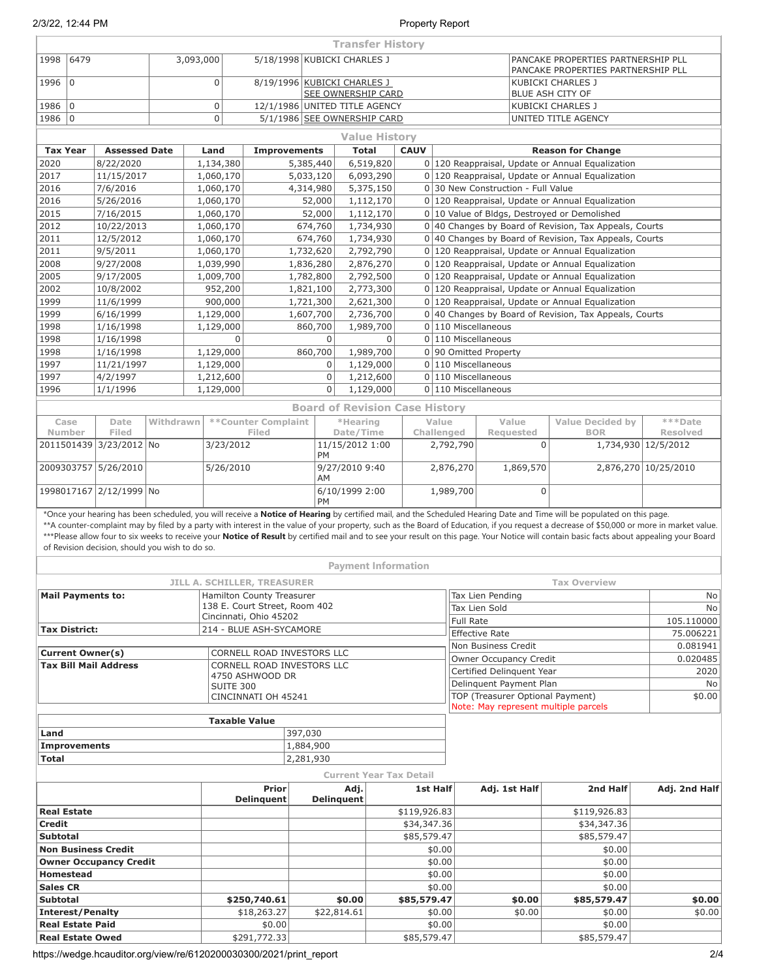|                                                 |                        |           |           |                        |                                                            |                        | <b>Transfer History</b>                                  |                        |                             |                                                                                        |                                   |                                                        |                                                                                                                                                                                                                                                                                                                                                                                                                                                                                                                                                                  |                      |               |  |  |
|-------------------------------------------------|------------------------|-----------|-----------|------------------------|------------------------------------------------------------|------------------------|----------------------------------------------------------|------------------------|-----------------------------|----------------------------------------------------------------------------------------|-----------------------------------|--------------------------------------------------------|------------------------------------------------------------------------------------------------------------------------------------------------------------------------------------------------------------------------------------------------------------------------------------------------------------------------------------------------------------------------------------------------------------------------------------------------------------------------------------------------------------------------------------------------------------------|----------------------|---------------|--|--|
| 6479<br>1998                                    |                        |           | 3,093,000 |                        |                                                            |                        | 5/18/1998 KUBICKI CHARLES J                              |                        |                             |                                                                                        |                                   |                                                        | PANCAKE PROPERTIES PARTNERSHIP PLL<br>PANCAKE PROPERTIES PARTNERSHIP PLL                                                                                                                                                                                                                                                                                                                                                                                                                                                                                         |                      |               |  |  |
| $\mathbf 0$<br>1996                             |                        |           |           | $\mathbf 0$            |                                                            |                        | 8/19/1996 KUBICKI CHARLES J<br><b>SEE OWNERSHIP CARD</b> |                        |                             |                                                                                        |                                   |                                                        | KUBICKI CHARLES J<br>BLUE ASH CITY OF                                                                                                                                                                                                                                                                                                                                                                                                                                                                                                                            |                      |               |  |  |
| 1986<br>$\mathbf 0$                             |                        |           |           | $\mathsf 0$            |                                                            |                        | 12/1/1986 UNITED TITLE AGENCY                            |                        |                             |                                                                                        |                                   |                                                        | <b>KUBICKI CHARLES J</b>                                                                                                                                                                                                                                                                                                                                                                                                                                                                                                                                         |                      |               |  |  |
| 1986 0                                          |                        |           |           | $\mathbf 0$            |                                                            |                        | 5/1/1986 SEE OWNERSHIP CARD                              |                        |                             |                                                                                        |                                   |                                                        | UNITED TITLE AGENCY                                                                                                                                                                                                                                                                                                                                                                                                                                                                                                                                              |                      |               |  |  |
|                                                 |                        |           |           |                        |                                                            |                        |                                                          | <b>Value History</b>   |                             |                                                                                        |                                   |                                                        |                                                                                                                                                                                                                                                                                                                                                                                                                                                                                                                                                                  |                      |               |  |  |
| <b>Tax Year</b>                                 | <b>Assessed Date</b>   |           | Land      |                        | <b>Improvements</b>                                        |                        |                                                          | <b>Total</b>           | <b>CAUV</b>                 |                                                                                        |                                   |                                                        | <b>Reason for Change</b>                                                                                                                                                                                                                                                                                                                                                                                                                                                                                                                                         |                      |               |  |  |
| 2020                                            | 8/22/2020              |           |           | 1,134,380              |                                                            | 5,385,440              |                                                          | 6,519,820              |                             |                                                                                        |                                   |                                                        | 0 120 Reappraisal, Update or Annual Equalization                                                                                                                                                                                                                                                                                                                                                                                                                                                                                                                 |                      |               |  |  |
| 2017                                            | 11/15/2017             |           |           | 1,060,170              |                                                            | 5,033,120              |                                                          | 6,093,290              |                             |                                                                                        |                                   |                                                        | 0 120 Reappraisal, Update or Annual Equalization                                                                                                                                                                                                                                                                                                                                                                                                                                                                                                                 |                      |               |  |  |
| 2016<br>2016                                    | 7/6/2016<br>5/26/2016  |           |           | 1,060,170<br>1,060,170 |                                                            | 4,314,980<br>52,000    |                                                          | 5,375,150<br>1,112,170 |                             | 0 30 New Construction - Full Value<br>0 120 Reappraisal, Update or Annual Equalization |                                   |                                                        |                                                                                                                                                                                                                                                                                                                                                                                                                                                                                                                                                                  |                      |               |  |  |
| 2015                                            | 7/16/2015              |           |           | 1,060,170              |                                                            | 52,000                 |                                                          | 1,112,170              |                             |                                                                                        |                                   |                                                        | 0 10 Value of Bldgs, Destroyed or Demolished                                                                                                                                                                                                                                                                                                                                                                                                                                                                                                                     |                      |               |  |  |
| 2012                                            | 10/22/2013             |           |           | 1,060,170              |                                                            | 674,760                |                                                          | 1,734,930              |                             |                                                                                        |                                   |                                                        | 0 40 Changes by Board of Revision, Tax Appeals, Courts                                                                                                                                                                                                                                                                                                                                                                                                                                                                                                           |                      |               |  |  |
| 2011                                            | 12/5/2012              |           |           | 1,060,170              |                                                            | 674,760                | 1,734,930                                                |                        |                             |                                                                                        |                                   | 0 40 Changes by Board of Revision, Tax Appeals, Courts |                                                                                                                                                                                                                                                                                                                                                                                                                                                                                                                                                                  |                      |               |  |  |
| 2011                                            | 9/5/2011               |           |           | 1,060,170              |                                                            | 1,732,620              |                                                          | 2,792,790              |                             |                                                                                        |                                   |                                                        | 0 120 Reappraisal, Update or Annual Equalization                                                                                                                                                                                                                                                                                                                                                                                                                                                                                                                 |                      |               |  |  |
| 2008                                            | 9/27/2008              |           |           | 1,039,990              |                                                            | 1,836,280              |                                                          | 2,876,270              |                             |                                                                                        |                                   |                                                        | 0 120 Reappraisal, Update or Annual Equalization                                                                                                                                                                                                                                                                                                                                                                                                                                                                                                                 |                      |               |  |  |
| 2005<br>2002                                    | 9/17/2005<br>10/8/2002 |           |           | 1,009,700<br>952,200   |                                                            | 1,782,800<br>1,821,100 |                                                          | 2,792,500<br>2,773,300 |                             |                                                                                        |                                   |                                                        | 0 120 Reappraisal, Update or Annual Equalization<br>0 120 Reappraisal, Update or Annual Equalization                                                                                                                                                                                                                                                                                                                                                                                                                                                             |                      |               |  |  |
| 1999                                            | 11/6/1999              |           |           | 900,000                |                                                            | 1,721,300              |                                                          | 2,621,300              |                             |                                                                                        |                                   |                                                        | 0 120 Reappraisal, Update or Annual Equalization                                                                                                                                                                                                                                                                                                                                                                                                                                                                                                                 |                      |               |  |  |
| 1999                                            | 6/16/1999              |           |           | 1,129,000              |                                                            | 1,607,700              |                                                          | 2,736,700              |                             |                                                                                        |                                   |                                                        | 0 40 Changes by Board of Revision, Tax Appeals, Courts                                                                                                                                                                                                                                                                                                                                                                                                                                                                                                           |                      |               |  |  |
| 1998                                            | 1/16/1998              |           |           | 1,129,000              |                                                            | 860,700                |                                                          | 1,989,700              |                             |                                                                                        |                                   | 0 110 Miscellaneous                                    |                                                                                                                                                                                                                                                                                                                                                                                                                                                                                                                                                                  |                      |               |  |  |
| 1998                                            | 1/16/1998              |           |           | $\Omega$               |                                                            |                        | $\Omega$                                                 | $\Omega$               |                             |                                                                                        |                                   | $0 110$ Miscellaneous                                  |                                                                                                                                                                                                                                                                                                                                                                                                                                                                                                                                                                  |                      |               |  |  |
| 1998                                            | 1/16/1998              |           |           | 1,129,000              |                                                            | 860,700                |                                                          | 1,989,700              |                             |                                                                                        |                                   | 0 90 Omitted Property                                  |                                                                                                                                                                                                                                                                                                                                                                                                                                                                                                                                                                  |                      |               |  |  |
| 1997<br>1997                                    | 11/21/1997<br>4/2/1997 |           |           | 1,129,000<br>1,212,600 |                                                            |                        | $\mathbf 0$<br>$\boldsymbol{0}$                          | 1,129,000<br>1,212,600 |                             |                                                                                        |                                   | 0 110 Miscellaneous<br>0 110 Miscellaneous             |                                                                                                                                                                                                                                                                                                                                                                                                                                                                                                                                                                  |                      |               |  |  |
| 1996                                            | 1/1/1996               |           |           | 1,129,000              |                                                            |                        | $\overline{0}$                                           | 1,129,000              |                             |                                                                                        |                                   | 0 110 Miscellaneous                                    |                                                                                                                                                                                                                                                                                                                                                                                                                                                                                                                                                                  |                      |               |  |  |
|                                                 |                        |           |           |                        |                                                            |                        | <b>Board of Revision Case History</b>                    |                        |                             |                                                                                        |                                   |                                                        |                                                                                                                                                                                                                                                                                                                                                                                                                                                                                                                                                                  |                      |               |  |  |
| Case                                            | Date                   | Withdrawn |           |                        | **Counter Complaint                                        |                        | *Hearing                                                 |                        |                             | Value                                                                                  |                                   | Value                                                  | <b>Value Decided by</b>                                                                                                                                                                                                                                                                                                                                                                                                                                                                                                                                          | ***Date              |               |  |  |
| Number                                          | Filed                  |           |           |                        | Filed                                                      |                        | Date/Time                                                |                        | Challenged                  |                                                                                        |                                   | Requested                                              | <b>BOR</b>                                                                                                                                                                                                                                                                                                                                                                                                                                                                                                                                                       | <b>Resolved</b>      |               |  |  |
| 2011501439 3/23/2012 No                         |                        |           |           | 3/23/2012              |                                                            |                        | 11/15/2012 1:00<br><b>PM</b>                             |                        |                             | 2,792,790                                                                              |                                   | $\Omega$                                               |                                                                                                                                                                                                                                                                                                                                                                                                                                                                                                                                                                  | 1,734,930 12/5/2012  |               |  |  |
| 2009303757 5/26/2010                            |                        |           |           | 5/26/2010              |                                                            |                        | 9/27/2010 9:40<br>AM                                     |                        |                             |                                                                                        | 2,876,270                         | 1,869,570                                              |                                                                                                                                                                                                                                                                                                                                                                                                                                                                                                                                                                  | 2,876,270 10/25/2010 |               |  |  |
| 1998017167 2/12/1999 No                         |                        |           |           |                        |                                                            |                        | 6/10/1999 2:00<br><b>PM</b>                              |                        | 1,989,700                   |                                                                                        |                                   | 0                                                      |                                                                                                                                                                                                                                                                                                                                                                                                                                                                                                                                                                  |                      |               |  |  |
| of Revision decision, should you wish to do so. |                        |           |           |                        |                                                            |                        | <b>Payment Information</b>                               |                        |                             |                                                                                        |                                   |                                                        | *Once your hearing has been scheduled, you will receive a Notice of Hearing by certified mail, and the Scheduled Hearing Date and Time will be populated on this page.<br>**A counter-complaint may by filed by a party with interest in the value of your property, such as the Board of Education, if you request a decrease of \$50,000 or more in market value.<br>***Please allow four to six weeks to receive your Notice of Result by certified mail and to see your result on this page. Your Notice will contain basic facts about appealing your Board |                      |               |  |  |
|                                                 |                        |           |           |                        | JILL A. SCHILLER, TREASURER                                |                        |                                                          |                        |                             |                                                                                        |                                   |                                                        | <b>Tax Overview</b>                                                                                                                                                                                                                                                                                                                                                                                                                                                                                                                                              |                      |               |  |  |
| <b>Mail Payments to:</b>                        |                        |           |           |                        | Hamilton County Treasurer<br>138 E. Court Street, Room 402 |                        |                                                          |                        |                             |                                                                                        | Tax Lien Pending                  |                                                        | No<br>No                                                                                                                                                                                                                                                                                                                                                                                                                                                                                                                                                         |                      |               |  |  |
|                                                 |                        |           |           |                        | Cincinnati, Ohio 45202                                     |                        |                                                          |                        |                             |                                                                                        | Tax Lien Sold<br><b>Full Rate</b> |                                                        |                                                                                                                                                                                                                                                                                                                                                                                                                                                                                                                                                                  |                      | 105.110000    |  |  |
| <b>Tax District:</b>                            |                        |           |           |                        | 214 - BLUE ASH-SYCAMORE                                    |                        |                                                          |                        |                             |                                                                                        | <b>Effective Rate</b>             |                                                        |                                                                                                                                                                                                                                                                                                                                                                                                                                                                                                                                                                  |                      | 75.006221     |  |  |
| <b>Current Owner(s)</b>                         |                        |           |           |                        | CORNELL ROAD INVESTORS LLC                                 |                        |                                                          |                        |                             |                                                                                        | Non Business Credit<br>0.081941   |                                                        |                                                                                                                                                                                                                                                                                                                                                                                                                                                                                                                                                                  |                      |               |  |  |
| <b>Tax Bill Mail Address</b>                    |                        |           |           |                        | CORNELL ROAD INVESTORS LLC                                 |                        |                                                          |                        |                             |                                                                                        |                                   | Owner Occupancy Credit                                 |                                                                                                                                                                                                                                                                                                                                                                                                                                                                                                                                                                  |                      | 0.020485      |  |  |
|                                                 |                        |           |           |                        | 4750 ASHWOOD DR                                            |                        |                                                          |                        |                             |                                                                                        |                                   | Certified Delinquent Year<br>Delinguent Payment Plan   |                                                                                                                                                                                                                                                                                                                                                                                                                                                                                                                                                                  |                      | 2020<br>No    |  |  |
|                                                 |                        |           |           | SUITE 300              | CINCINNATI OH 45241                                        |                        |                                                          |                        |                             |                                                                                        |                                   | TOP (Treasurer Optional Payment)                       |                                                                                                                                                                                                                                                                                                                                                                                                                                                                                                                                                                  |                      | \$0.00        |  |  |
|                                                 |                        |           |           |                        |                                                            |                        |                                                          |                        |                             |                                                                                        |                                   | Note: May represent multiple parcels                   |                                                                                                                                                                                                                                                                                                                                                                                                                                                                                                                                                                  |                      |               |  |  |
|                                                 |                        |           |           |                        | <b>Taxable Value</b>                                       |                        |                                                          |                        |                             |                                                                                        |                                   |                                                        |                                                                                                                                                                                                                                                                                                                                                                                                                                                                                                                                                                  |                      |               |  |  |
| Land<br><b>Improvements</b>                     |                        |           |           |                        |                                                            | 397,030<br>1,884,900   |                                                          |                        |                             |                                                                                        |                                   |                                                        |                                                                                                                                                                                                                                                                                                                                                                                                                                                                                                                                                                  |                      |               |  |  |
| <b>Total</b>                                    |                        |           |           |                        |                                                            | 2,281,930              |                                                          |                        |                             |                                                                                        |                                   |                                                        |                                                                                                                                                                                                                                                                                                                                                                                                                                                                                                                                                                  |                      |               |  |  |
|                                                 |                        |           |           |                        |                                                            |                        | <b>Current Year Tax Detail</b>                           |                        |                             |                                                                                        |                                   |                                                        |                                                                                                                                                                                                                                                                                                                                                                                                                                                                                                                                                                  |                      |               |  |  |
|                                                 |                        |           |           |                        | Prior                                                      |                        | Adj.                                                     |                        | 1st Half                    |                                                                                        |                                   | Adj. 1st Half                                          | 2nd Half                                                                                                                                                                                                                                                                                                                                                                                                                                                                                                                                                         |                      | Adj. 2nd Half |  |  |
|                                                 |                        |           |           |                        | <b>Delinquent</b>                                          |                        | <b>Delinquent</b>                                        |                        |                             |                                                                                        |                                   |                                                        |                                                                                                                                                                                                                                                                                                                                                                                                                                                                                                                                                                  |                      |               |  |  |
| <b>Real Estate</b><br><b>Credit</b>             |                        |           |           |                        |                                                            |                        |                                                          |                        | \$119,926.83<br>\$34,347.36 |                                                                                        |                                   |                                                        | \$119,926.83<br>\$34,347.36                                                                                                                                                                                                                                                                                                                                                                                                                                                                                                                                      |                      |               |  |  |
| <b>Subtotal</b>                                 |                        |           |           |                        |                                                            |                        |                                                          |                        | \$85,579.47                 |                                                                                        |                                   |                                                        | \$85,579.47                                                                                                                                                                                                                                                                                                                                                                                                                                                                                                                                                      |                      |               |  |  |
| <b>Non Business Credit</b>                      |                        |           |           |                        |                                                            |                        |                                                          |                        |                             | \$0.00                                                                                 |                                   |                                                        | \$0.00                                                                                                                                                                                                                                                                                                                                                                                                                                                                                                                                                           |                      |               |  |  |
| <b>Owner Occupancy Credit</b>                   |                        |           |           |                        |                                                            |                        |                                                          |                        | \$0.00                      |                                                                                        |                                   | \$0.00                                                 |                                                                                                                                                                                                                                                                                                                                                                                                                                                                                                                                                                  |                      |               |  |  |
| <b>Homestead</b>                                |                        |           |           |                        |                                                            |                        |                                                          |                        |                             | \$0.00                                                                                 |                                   |                                                        | \$0.00                                                                                                                                                                                                                                                                                                                                                                                                                                                                                                                                                           |                      |               |  |  |
| <b>Sales CR</b>                                 |                        |           |           |                        |                                                            |                        | \$0.00                                                   |                        | \$85,579.47                 | \$0.00                                                                                 |                                   | \$0.00                                                 | \$0.00<br>\$85,579.47                                                                                                                                                                                                                                                                                                                                                                                                                                                                                                                                            |                      | \$0.00        |  |  |
| <b>Subtotal</b><br><b>Interest/Penalty</b>      |                        |           |           |                        | \$250,740.61<br>\$18,263.27                                |                        | \$22,814.61                                              |                        |                             | \$0.00                                                                                 |                                   | \$0.00                                                 | \$0.00                                                                                                                                                                                                                                                                                                                                                                                                                                                                                                                                                           |                      | \$0.00        |  |  |
| <b>Real Estate Paid</b>                         |                        |           |           |                        | \$0.00                                                     |                        |                                                          |                        |                             | \$0.00                                                                                 |                                   |                                                        | \$0.00                                                                                                                                                                                                                                                                                                                                                                                                                                                                                                                                                           |                      |               |  |  |
| <b>Real Estate Owed</b>                         |                        |           |           |                        | \$291,772.33                                               |                        |                                                          |                        | \$85,579.47                 |                                                                                        |                                   |                                                        | \$85,579.47                                                                                                                                                                                                                                                                                                                                                                                                                                                                                                                                                      |                      |               |  |  |

https://wedge.hcauditor.org/view/re/6120200030300/2021/print\_report 2/4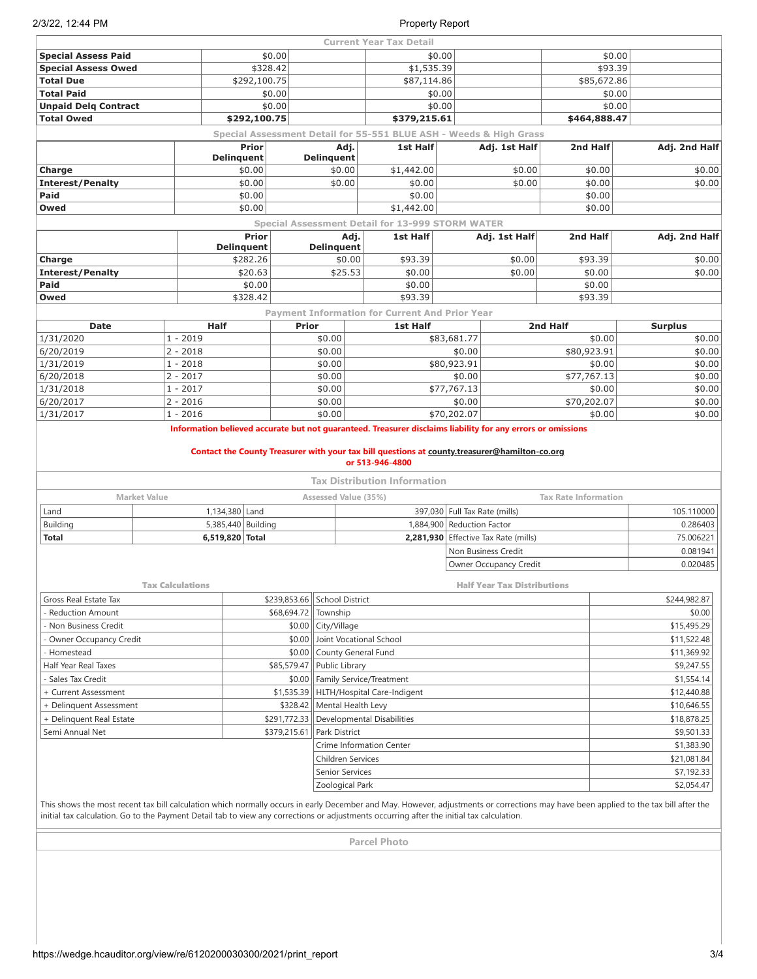|                                                                                                                                                                                                                                                                                                                                   |                         |                            |              |                                   | <b>Current Year Tax Detail</b>                                     |                               |                                      |                             |                |  |
|-----------------------------------------------------------------------------------------------------------------------------------------------------------------------------------------------------------------------------------------------------------------------------------------------------------------------------------|-------------------------|----------------------------|--------------|-----------------------------------|--------------------------------------------------------------------|-------------------------------|--------------------------------------|-----------------------------|----------------|--|
| <b>Special Assess Paid</b>                                                                                                                                                                                                                                                                                                        |                         |                            | \$0.00       |                                   | \$0.00                                                             |                               |                                      | \$0.00                      |                |  |
| <b>Special Assess Owed</b>                                                                                                                                                                                                                                                                                                        |                         | \$328.42                   |              |                                   | \$1,535.39                                                         |                               |                                      | \$93.39                     |                |  |
| <b>Total Due</b>                                                                                                                                                                                                                                                                                                                  |                         | \$292,100.75               |              |                                   | \$87,114.86                                                        |                               |                                      | \$85,672.86                 |                |  |
| <b>Total Paid</b>                                                                                                                                                                                                                                                                                                                 |                         |                            | \$0.00       |                                   | \$0.00                                                             |                               |                                      | \$0.00                      |                |  |
| <b>Unpaid Delg Contract</b>                                                                                                                                                                                                                                                                                                       |                         |                            | \$0.00       |                                   | \$0.00                                                             |                               |                                      | \$0.00                      |                |  |
| <b>Total Owed</b>                                                                                                                                                                                                                                                                                                                 |                         | \$292,100.75               |              |                                   | \$379,215.61                                                       |                               |                                      | \$464,888.47                |                |  |
|                                                                                                                                                                                                                                                                                                                                   |                         |                            |              |                                   | Special Assessment Detail for 55-551 BLUE ASH - Weeds & High Grass |                               |                                      |                             |                |  |
|                                                                                                                                                                                                                                                                                                                                   |                         | Prior<br><b>Delinquent</b> |              | Adj.<br><b>Delinquent</b>         | <b>1st Half</b>                                                    |                               | Adj. 1st Half                        | 2nd Half                    | Adj. 2nd Half  |  |
| Charge                                                                                                                                                                                                                                                                                                                            |                         | \$0.00                     |              | \$0.00                            | \$1,442.00                                                         |                               | \$0.00                               | \$0.00                      | \$0.00         |  |
| <b>Interest/Penalty</b>                                                                                                                                                                                                                                                                                                           |                         | \$0.00                     |              | \$0.00                            | \$0.00                                                             |                               | \$0.00                               | \$0.00                      | \$0.00         |  |
| Paid                                                                                                                                                                                                                                                                                                                              |                         | \$0.00                     |              |                                   | \$0.00                                                             |                               |                                      | \$0.00                      |                |  |
| Owed                                                                                                                                                                                                                                                                                                                              |                         | \$0.00                     |              |                                   | \$1,442.00                                                         |                               |                                      | \$0.00                      |                |  |
|                                                                                                                                                                                                                                                                                                                                   |                         |                            |              |                                   | <b>Special Assessment Detail for 13-999 STORM WATER</b>            |                               |                                      |                             |                |  |
|                                                                                                                                                                                                                                                                                                                                   |                         | Prior                      |              | Adj.                              | 1st Half                                                           |                               | Adj. 1st Half                        | 2nd Half                    | Adj. 2nd Half  |  |
|                                                                                                                                                                                                                                                                                                                                   |                         | <b>Delinquent</b>          |              | Delinquent                        |                                                                    |                               |                                      |                             |                |  |
| Charge                                                                                                                                                                                                                                                                                                                            |                         | \$282.26                   |              | \$0.00                            | \$93.39                                                            |                               | \$0.00                               | \$93.39                     | \$0.00         |  |
| <b>Interest/Penalty</b>                                                                                                                                                                                                                                                                                                           |                         | \$20.63                    |              | \$25.53                           | \$0.00                                                             |                               | \$0.00                               | \$0.00                      | \$0.00         |  |
| Paid                                                                                                                                                                                                                                                                                                                              |                         | \$0.00                     |              |                                   | \$0.00                                                             |                               |                                      | \$0.00                      |                |  |
| Owed                                                                                                                                                                                                                                                                                                                              |                         | \$328.42                   |              |                                   | \$93.39                                                            |                               |                                      | \$93.39                     |                |  |
|                                                                                                                                                                                                                                                                                                                                   |                         |                            |              |                                   | <b>Payment Information for Current And Prior Year</b>              |                               |                                      |                             |                |  |
| <b>Date</b>                                                                                                                                                                                                                                                                                                                       | <b>Half</b>             |                            | <b>Prior</b> |                                   | 1st Half                                                           |                               |                                      | 2nd Half                    | <b>Surplus</b> |  |
| 1/31/2020                                                                                                                                                                                                                                                                                                                         | $1 - 2019$              |                            |              | \$0.00                            |                                                                    | \$83,681.77                   |                                      | \$0.00                      | \$0.00         |  |
| 6/20/2019                                                                                                                                                                                                                                                                                                                         | $2 - 2018$              |                            |              | \$0.00                            |                                                                    | \$0.00                        |                                      | \$80,923.91                 | \$0.00         |  |
| 1/31/2019                                                                                                                                                                                                                                                                                                                         | $1 - 2018$              |                            |              | \$0.00                            |                                                                    | \$80,923.91                   |                                      | \$0.00                      | \$0.00         |  |
| 6/20/2018                                                                                                                                                                                                                                                                                                                         | $2 - 2017$              |                            |              | \$0.00                            |                                                                    | \$0.00                        |                                      | \$77,767.13                 | \$0.00         |  |
| 1/31/2018                                                                                                                                                                                                                                                                                                                         | $1 - 2017$              |                            |              | \$0.00                            |                                                                    | \$77,767.13                   |                                      | \$0.00                      | \$0.00         |  |
| 6/20/2017                                                                                                                                                                                                                                                                                                                         | $2 - 2016$              |                            |              | \$0.00                            |                                                                    | \$0.00                        | \$70,202.07                          |                             | \$0.00         |  |
| 1/31/2017                                                                                                                                                                                                                                                                                                                         | $1 - 2016$              |                            |              | \$0.00                            |                                                                    | \$70,202.07                   |                                      | \$0.00                      | \$0.00         |  |
| <b>Market Value</b>                                                                                                                                                                                                                                                                                                               |                         |                            |              | Assessed Value (35%)              | <b>Tax Distribution Information</b>                                |                               |                                      | <b>Tax Rate Information</b> |                |  |
| Land                                                                                                                                                                                                                                                                                                                              |                         | 1,134,380 Land             |              |                                   |                                                                    | 397,030 Full Tax Rate (mills) |                                      |                             | 105.110000     |  |
| Building                                                                                                                                                                                                                                                                                                                          |                         | 5,385,440 Building         |              |                                   |                                                                    | 1,884,900 Reduction Factor    |                                      |                             | 0.286403       |  |
| <b>Total</b>                                                                                                                                                                                                                                                                                                                      |                         | 6,519,820 Total            |              |                                   |                                                                    |                               | 2,281,930 Effective Tax Rate (mills) | 75.006221                   |                |  |
|                                                                                                                                                                                                                                                                                                                                   |                         |                            |              |                                   |                                                                    |                               | Non Business Credit                  |                             | 0.081941       |  |
|                                                                                                                                                                                                                                                                                                                                   |                         |                            |              |                                   |                                                                    |                               | Owner Occupancy Credit               |                             | 0.020485       |  |
|                                                                                                                                                                                                                                                                                                                                   |                         |                            |              |                                   |                                                                    |                               |                                      |                             |                |  |
|                                                                                                                                                                                                                                                                                                                                   | <b>Tax Calculations</b> |                            |              |                                   |                                                                    |                               | <b>Half Year Tax Distributions</b>   |                             |                |  |
| Gross Real Estate Tax                                                                                                                                                                                                                                                                                                             |                         |                            | \$239,853.66 | <b>School District</b>            |                                                                    |                               |                                      |                             | \$244,982.87   |  |
| <b>Reduction Amount</b>                                                                                                                                                                                                                                                                                                           |                         |                            | \$68,694.72  | Township                          |                                                                    |                               |                                      |                             | \$0.00         |  |
| Non Business Credit                                                                                                                                                                                                                                                                                                               |                         |                            | \$0.00       | City/Village                      |                                                                    |                               |                                      |                             | \$15,495.29    |  |
| Owner Occupancy Credit                                                                                                                                                                                                                                                                                                            |                         |                            | \$0.00       | Joint Vocational School           |                                                                    |                               |                                      |                             | \$11,522.48    |  |
| Homestead                                                                                                                                                                                                                                                                                                                         |                         |                            | \$0.00       | County General Fund               |                                                                    |                               |                                      |                             | \$11,369.92    |  |
| Half Year Real Taxes                                                                                                                                                                                                                                                                                                              |                         |                            | \$85,579.47  | Public Library                    |                                                                    |                               |                                      |                             | \$9,247.55     |  |
| Sales Tax Credit                                                                                                                                                                                                                                                                                                                  |                         |                            | \$0.00       | Family Service/Treatment          |                                                                    |                               |                                      |                             | \$1,554.14     |  |
| + Current Assessment                                                                                                                                                                                                                                                                                                              |                         |                            | \$1,535.39   |                                   | HLTH/Hospital Care-Indigent                                        |                               |                                      |                             | \$12,440.88    |  |
| + Delinguent Assessment                                                                                                                                                                                                                                                                                                           |                         |                            | \$328.42     | Mental Health Levy                |                                                                    |                               |                                      |                             | \$10,646.55    |  |
| + Delinquent Real Estate                                                                                                                                                                                                                                                                                                          |                         |                            | \$291,772.33 | <b>Developmental Disabilities</b> |                                                                    |                               | \$18,878.25                          |                             |                |  |
| Semi Annual Net                                                                                                                                                                                                                                                                                                                   |                         |                            | \$379,215.61 | Park District                     |                                                                    |                               |                                      |                             | \$9,501.33     |  |
|                                                                                                                                                                                                                                                                                                                                   |                         |                            |              | Crime Information Center          |                                                                    |                               |                                      |                             | \$1,383.90     |  |
|                                                                                                                                                                                                                                                                                                                                   |                         |                            |              | Children Services                 |                                                                    |                               |                                      |                             | \$21,081.84    |  |
|                                                                                                                                                                                                                                                                                                                                   |                         |                            |              | Senior Services                   |                                                                    |                               |                                      |                             | \$7,192.33     |  |
|                                                                                                                                                                                                                                                                                                                                   |                         |                            |              | Zoological Park                   |                                                                    |                               |                                      |                             | \$2,054.47     |  |
| This shows the most recent tax bill calculation which normally occurs in early December and May. However, adjustments or corrections may have been applied to the tax bill after the<br>initial tax calculation. Go to the Payment Detail tab to view any corrections or adjustments occurring after the initial tax calculation. |                         |                            |              |                                   |                                                                    |                               |                                      |                             |                |  |
|                                                                                                                                                                                                                                                                                                                                   |                         |                            |              |                                   | <b>Parcel Photo</b>                                                |                               |                                      |                             |                |  |
|                                                                                                                                                                                                                                                                                                                                   |                         |                            |              |                                   |                                                                    |                               |                                      |                             |                |  |
|                                                                                                                                                                                                                                                                                                                                   |                         |                            |              |                                   |                                                                    |                               |                                      |                             |                |  |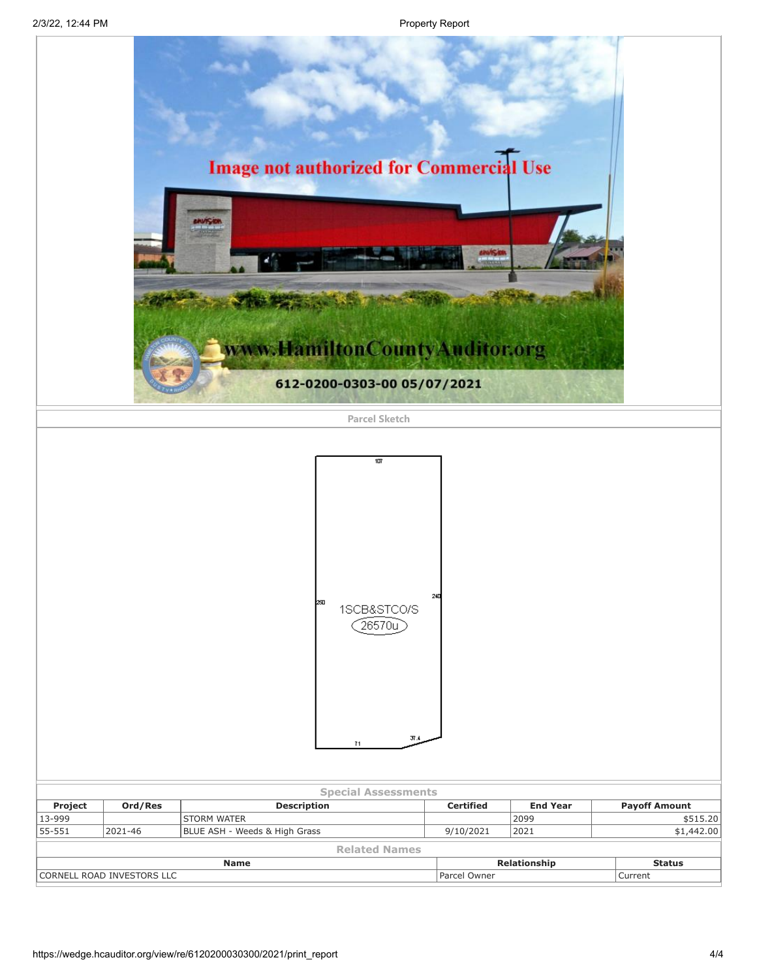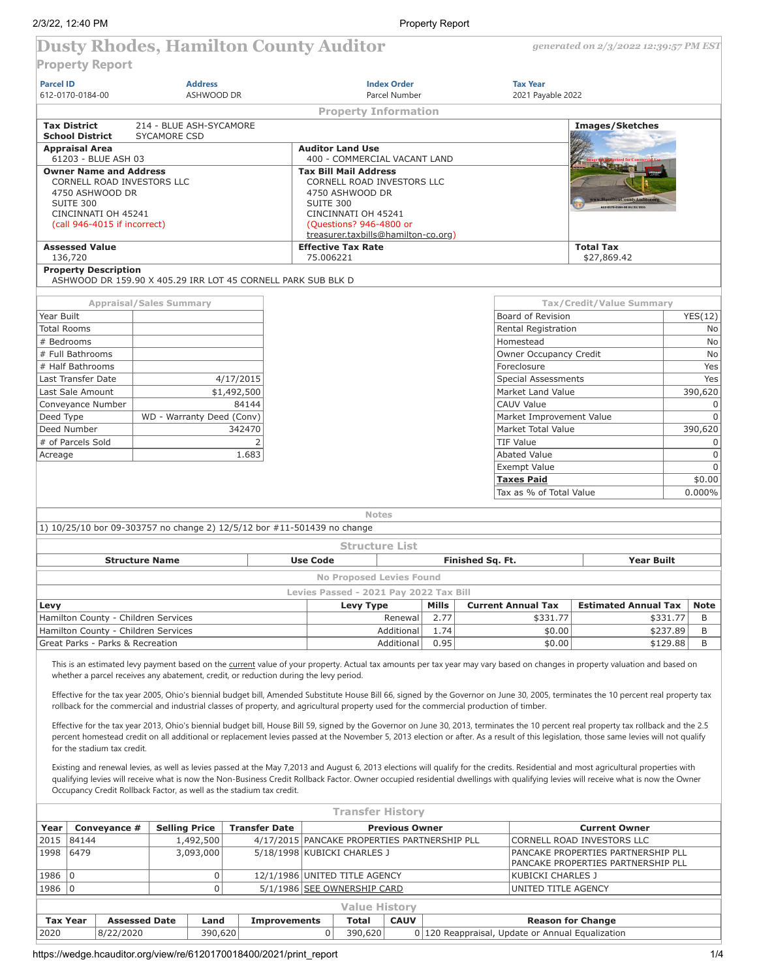*generated on 2/3/2022 12:39:57 PM EST*

# **Dusty Rhodes, Hamilton County Auditor**

**Property Report**

| <b>Parcel ID</b>   | .                                                                                                                                                                                                                                |  |                                                | <b>Address</b> |                      |                               |                                                  |                                        | <b>Index Order</b>                                                                           |       |        |                  | <b>Tax Year</b>                                    |                                                                                                                                                                                                                                                                                                                                                                                                                                                                                                                                                               |          |                            |
|--------------------|----------------------------------------------------------------------------------------------------------------------------------------------------------------------------------------------------------------------------------|--|------------------------------------------------|----------------|----------------------|-------------------------------|--------------------------------------------------|----------------------------------------|----------------------------------------------------------------------------------------------|-------|--------|------------------|----------------------------------------------------|---------------------------------------------------------------------------------------------------------------------------------------------------------------------------------------------------------------------------------------------------------------------------------------------------------------------------------------------------------------------------------------------------------------------------------------------------------------------------------------------------------------------------------------------------------------|----------|----------------------------|
|                    | 612-0170-0184-00                                                                                                                                                                                                                 |  |                                                | ASHWOOD DR     |                      |                               |                                                  |                                        | Parcel Number                                                                                |       |        |                  | 2021 Payable 2022                                  |                                                                                                                                                                                                                                                                                                                                                                                                                                                                                                                                                               |          |                            |
|                    |                                                                                                                                                                                                                                  |  |                                                |                |                      |                               |                                                  |                                        | <b>Property Information</b>                                                                  |       |        |                  |                                                    |                                                                                                                                                                                                                                                                                                                                                                                                                                                                                                                                                               |          |                            |
|                    | <b>Tax District</b><br><b>School District</b>                                                                                                                                                                                    |  | 214 - BLUE ASH-SYCAMORE<br><b>SYCAMORE CSD</b> |                |                      |                               |                                                  |                                        |                                                                                              |       |        |                  |                                                    | Images/Sketches                                                                                                                                                                                                                                                                                                                                                                                                                                                                                                                                               |          |                            |
|                    | <b>Appraisal Area</b><br>61203 - BLUE ASH 03                                                                                                                                                                                     |  |                                                |                |                      |                               | <b>Auditor Land Use</b>                          |                                        | 400 - COMMERCIAL VACANT LAND                                                                 |       |        |                  |                                                    |                                                                                                                                                                                                                                                                                                                                                                                                                                                                                                                                                               |          |                            |
|                    | <b>Owner Name and Address</b><br>CORNELL ROAD INVESTORS LLC<br>4750 ASHWOOD DR<br>SUITE 300<br>CINCINNATI OH 45241<br>(call 946-4015 if incorrect)                                                                               |  |                                                |                |                      |                               | <b>Tax Bill Mail Address</b><br><b>SUITE 300</b> | 4750 ASHWOOD DR<br>CINCINNATI OH 45241 | CORNELL ROAD INVESTORS LLC<br>(Questions? 946-4800 or<br>treasurer.taxbills@hamilton-co.org) |       |        |                  |                                                    |                                                                                                                                                                                                                                                                                                                                                                                                                                                                                                                                                               |          |                            |
|                    | <b>Assessed Value</b>                                                                                                                                                                                                            |  |                                                |                |                      |                               | <b>Effective Tax Rate</b>                        |                                        |                                                                                              |       |        |                  |                                                    | <b>Total Tax</b>                                                                                                                                                                                                                                                                                                                                                                                                                                                                                                                                              |          |                            |
| 136,720            |                                                                                                                                                                                                                                  |  |                                                |                |                      |                               | 75.006221                                        |                                        |                                                                                              |       |        |                  |                                                    | \$27,869.42                                                                                                                                                                                                                                                                                                                                                                                                                                                                                                                                                   |          |                            |
|                    | <b>Property Description</b><br>ASHWOOD DR 159.90 X 405.29 IRR LOT 45 CORNELL PARK SUB BLK D                                                                                                                                      |  |                                                |                |                      |                               |                                                  |                                        |                                                                                              |       |        |                  |                                                    |                                                                                                                                                                                                                                                                                                                                                                                                                                                                                                                                                               |          |                            |
|                    |                                                                                                                                                                                                                                  |  | <b>Appraisal/Sales Summary</b>                 |                |                      |                               |                                                  |                                        |                                                                                              |       |        |                  |                                                    | Tax/Credit/Value Summary                                                                                                                                                                                                                                                                                                                                                                                                                                                                                                                                      |          |                            |
| Year Built         |                                                                                                                                                                                                                                  |  |                                                |                |                      |                               |                                                  |                                        |                                                                                              |       |        |                  | Board of Revision                                  |                                                                                                                                                                                                                                                                                                                                                                                                                                                                                                                                                               |          | YES(12)                    |
| <b>Total Rooms</b> |                                                                                                                                                                                                                                  |  |                                                |                |                      |                               |                                                  |                                        |                                                                                              |       |        |                  | Rental Registration                                |                                                                                                                                                                                                                                                                                                                                                                                                                                                                                                                                                               |          | No                         |
| # Bedrooms         | # Full Bathrooms                                                                                                                                                                                                                 |  |                                                |                |                      |                               |                                                  |                                        |                                                                                              |       |        |                  | Homestead                                          |                                                                                                                                                                                                                                                                                                                                                                                                                                                                                                                                                               |          | No                         |
|                    | # Half Bathrooms                                                                                                                                                                                                                 |  |                                                |                |                      |                               |                                                  |                                        |                                                                                              |       |        |                  | Owner Occupancy Credit<br>Foreclosure              |                                                                                                                                                                                                                                                                                                                                                                                                                                                                                                                                                               |          | No<br>Yes                  |
|                    | Last Transfer Date                                                                                                                                                                                                               |  |                                                |                | 4/17/2015            |                               |                                                  |                                        |                                                                                              |       |        |                  | <b>Special Assessments</b>                         |                                                                                                                                                                                                                                                                                                                                                                                                                                                                                                                                                               |          | Yes                        |
|                    | Last Sale Amount                                                                                                                                                                                                                 |  |                                                |                | \$1,492,500          |                               |                                                  |                                        |                                                                                              |       |        |                  | Market Land Value                                  |                                                                                                                                                                                                                                                                                                                                                                                                                                                                                                                                                               |          | 390,620                    |
|                    | Conveyance Number                                                                                                                                                                                                                |  |                                                |                | 84144                |                               |                                                  |                                        |                                                                                              |       |        |                  | <b>CAUV Value</b>                                  |                                                                                                                                                                                                                                                                                                                                                                                                                                                                                                                                                               |          | $\mathbf 0$                |
| Deed Type          |                                                                                                                                                                                                                                  |  | WD - Warranty Deed (Conv)                      |                |                      |                               |                                                  |                                        |                                                                                              |       |        |                  | Market Improvement Value                           |                                                                                                                                                                                                                                                                                                                                                                                                                                                                                                                                                               |          | $\mathbf 0$                |
|                    | Deed Number                                                                                                                                                                                                                      |  |                                                |                | 342470               |                               |                                                  |                                        |                                                                                              |       |        |                  | Market Total Value                                 |                                                                                                                                                                                                                                                                                                                                                                                                                                                                                                                                                               |          | 390,620                    |
|                    | # of Parcels Sold                                                                                                                                                                                                                |  |                                                |                | 2                    |                               |                                                  |                                        |                                                                                              |       |        |                  | <b>TIF Value</b>                                   |                                                                                                                                                                                                                                                                                                                                                                                                                                                                                                                                                               |          | 0                          |
| Acreage            |                                                                                                                                                                                                                                  |  |                                                |                | 1.683                |                               |                                                  |                                        |                                                                                              |       |        |                  | <b>Abated Value</b>                                |                                                                                                                                                                                                                                                                                                                                                                                                                                                                                                                                                               |          | $\mathsf 0$<br>$\mathbf 0$ |
|                    |                                                                                                                                                                                                                                  |  |                                                |                |                      |                               |                                                  | Exempt Value<br><b>Taxes Paid</b>      |                                                                                              |       | \$0.00 |                  |                                                    |                                                                                                                                                                                                                                                                                                                                                                                                                                                                                                                                                               |          |                            |
|                    |                                                                                                                                                                                                                                  |  |                                                |                |                      |                               |                                                  |                                        |                                                                                              |       |        |                  | Tax as % of Total Value                            |                                                                                                                                                                                                                                                                                                                                                                                                                                                                                                                                                               |          | 0.000%                     |
|                    |                                                                                                                                                                                                                                  |  |                                                |                |                      |                               |                                                  |                                        |                                                                                              |       |        |                  |                                                    |                                                                                                                                                                                                                                                                                                                                                                                                                                                                                                                                                               |          |                            |
|                    |                                                                                                                                                                                                                                  |  |                                                |                |                      |                               |                                                  | <b>Notes</b>                           |                                                                                              |       |        |                  |                                                    |                                                                                                                                                                                                                                                                                                                                                                                                                                                                                                                                                               |          |                            |
|                    | 1) 10/25/10 bor 09-303757 no change 2) 12/5/12 bor #11-501439 no change                                                                                                                                                          |  |                                                |                |                      |                               |                                                  |                                        |                                                                                              |       |        |                  |                                                    |                                                                                                                                                                                                                                                                                                                                                                                                                                                                                                                                                               |          |                            |
|                    |                                                                                                                                                                                                                                  |  |                                                |                |                      |                               |                                                  |                                        | <b>Structure List</b>                                                                        |       |        |                  |                                                    |                                                                                                                                                                                                                                                                                                                                                                                                                                                                                                                                                               |          |                            |
|                    |                                                                                                                                                                                                                                  |  | <b>Structure Name</b>                          |                |                      |                               | <b>Use Code</b>                                  |                                        |                                                                                              |       |        | Finished Sq. Ft. |                                                    | <b>Year Built</b>                                                                                                                                                                                                                                                                                                                                                                                                                                                                                                                                             |          |                            |
|                    |                                                                                                                                                                                                                                  |  |                                                |                |                      |                               |                                                  |                                        | <b>No Proposed Levies Found</b>                                                              |       |        |                  |                                                    |                                                                                                                                                                                                                                                                                                                                                                                                                                                                                                                                                               |          |                            |
|                    |                                                                                                                                                                                                                                  |  |                                                |                |                      |                               |                                                  |                                        | Levies Passed - 2021 Pay 2022 Tax Bill                                                       |       |        |                  |                                                    |                                                                                                                                                                                                                                                                                                                                                                                                                                                                                                                                                               |          |                            |
| Levy               |                                                                                                                                                                                                                                  |  |                                                |                |                      |                               |                                                  | Levy Type                              |                                                                                              | Mills |        |                  | <b>Current Annual Tax</b>                          | <b>Estimated Annual Tax</b>                                                                                                                                                                                                                                                                                                                                                                                                                                                                                                                                   |          | <b>Note</b>                |
|                    | Hamilton County - Children Services                                                                                                                                                                                              |  |                                                |                |                      |                               |                                                  |                                        | Renewal                                                                                      |       | 2.77   |                  | \$331.77                                           |                                                                                                                                                                                                                                                                                                                                                                                                                                                                                                                                                               | \$331.77 | B                          |
|                    | Hamilton County - Children Services                                                                                                                                                                                              |  |                                                |                |                      |                               |                                                  |                                        | Additional                                                                                   |       | 1.74   |                  | \$0.00                                             |                                                                                                                                                                                                                                                                                                                                                                                                                                                                                                                                                               | \$237.89 | B                          |
|                    | Great Parks - Parks & Recreation                                                                                                                                                                                                 |  |                                                |                |                      |                               |                                                  |                                        | Additional                                                                                   |       | 0.95   |                  | \$0.00                                             |                                                                                                                                                                                                                                                                                                                                                                                                                                                                                                                                                               | \$129.88 | B                          |
|                    | whether a parcel receives any abatement, credit, or reduction during the levy period.<br>rollback for the commercial and industrial classes of property, and agricultural property used for the commercial production of timber. |  |                                                |                |                      |                               |                                                  |                                        |                                                                                              |       |        |                  |                                                    | This is an estimated levy payment based on the current value of your property. Actual tax amounts per tax year may vary based on changes in property valuation and based on<br>Effective for the tax year 2005, Ohio's biennial budget bill, Amended Substitute House Bill 66, signed by the Governor on June 30, 2005, terminates the 10 percent real property tax<br>Effective for the tax year 2013, Ohio's biennial budget bill, House Bill 59, signed by the Governor on June 30, 2013, terminates the 10 percent real property tax rollback and the 2.5 |          |                            |
|                    | for the stadium tax credit.                                                                                                                                                                                                      |  |                                                |                |                      |                               |                                                  |                                        |                                                                                              |       |        |                  |                                                    | percent homestead credit on all additional or replacement levies passed at the November 5, 2013 election or after. As a result of this legislation, those same levies will not qualify                                                                                                                                                                                                                                                                                                                                                                        |          |                            |
|                    | Occupancy Credit Rollback Factor, as well as the stadium tax credit.                                                                                                                                                             |  |                                                |                |                      |                               |                                                  |                                        |                                                                                              |       |        |                  |                                                    | Existing and renewal levies, as well as levies passed at the May 7,2013 and August 6, 2013 elections will qualify for the credits. Residential and most agricultural properties with<br>qualifying levies will receive what is now the Non-Business Credit Rollback Factor. Owner occupied residential dwellings with qualifying levies will receive what is now the Owner                                                                                                                                                                                    |          |                            |
|                    |                                                                                                                                                                                                                                  |  |                                                |                |                      |                               |                                                  |                                        | <b>Transfer History</b>                                                                      |       |        |                  |                                                    |                                                                                                                                                                                                                                                                                                                                                                                                                                                                                                                                                               |          |                            |
| Year               | Conveyance #                                                                                                                                                                                                                     |  | <b>Selling Price</b>                           |                | <b>Transfer Date</b> |                               |                                                  |                                        | <b>Previous Owner</b>                                                                        |       |        |                  |                                                    | <b>Current Owner</b>                                                                                                                                                                                                                                                                                                                                                                                                                                                                                                                                          |          |                            |
| 2015               | 84144                                                                                                                                                                                                                            |  |                                                | 1,492,500      |                      |                               |                                                  |                                        | 4/17/2015 PANCAKE PROPERTIES PARTNERSHIP PLL                                                 |       |        |                  |                                                    | CORNELL ROAD INVESTORS LLC                                                                                                                                                                                                                                                                                                                                                                                                                                                                                                                                    |          |                            |
| 1998               | 6479                                                                                                                                                                                                                             |  |                                                | 3,093,000      |                      | 5/18/1998 KUBICKI CHARLES J   |                                                  |                                        |                                                                                              |       |        |                  |                                                    | PANCAKE PROPERTIES PARTNERSHIP PLL<br>PANCAKE PROPERTIES PARTNERSHIP PLL                                                                                                                                                                                                                                                                                                                                                                                                                                                                                      |          |                            |
| 1986               | $\mathbf 0$                                                                                                                                                                                                                      |  |                                                | 0              |                      | 12/1/1986 UNITED TITLE AGENCY |                                                  |                                        |                                                                                              |       |        |                  | KUBICKI CHARLES J                                  |                                                                                                                                                                                                                                                                                                                                                                                                                                                                                                                                                               |          |                            |
| 1986               | $ 0\rangle$                                                                                                                                                                                                                      |  |                                                | 0              |                      | 5/1/1986 SEE OWNERSHIP CARD   |                                                  |                                        |                                                                                              |       |        |                  | UNITED TITLE AGENCY                                |                                                                                                                                                                                                                                                                                                                                                                                                                                                                                                                                                               |          |                            |
|                    |                                                                                                                                                                                                                                  |  |                                                |                |                      |                               |                                                  |                                        | <b>Value History</b>                                                                         |       |        |                  |                                                    |                                                                                                                                                                                                                                                                                                                                                                                                                                                                                                                                                               |          |                            |
| <b>Tax Year</b>    |                                                                                                                                                                                                                                  |  | <b>Assessed Date</b>                           | Land           |                      | <b>Improvements</b>           |                                                  | <b>Total</b>                           | <b>CAUV</b>                                                                                  |       |        |                  |                                                    | <b>Reason for Change</b>                                                                                                                                                                                                                                                                                                                                                                                                                                                                                                                                      |          |                            |
| 2020               | 8/22/2020                                                                                                                                                                                                                        |  |                                                | 390,620        |                      |                               | 0                                                | 390,620                                |                                                                                              |       |        |                  | 0   120 Reappraisal, Update or Annual Equalization |                                                                                                                                                                                                                                                                                                                                                                                                                                                                                                                                                               |          |                            |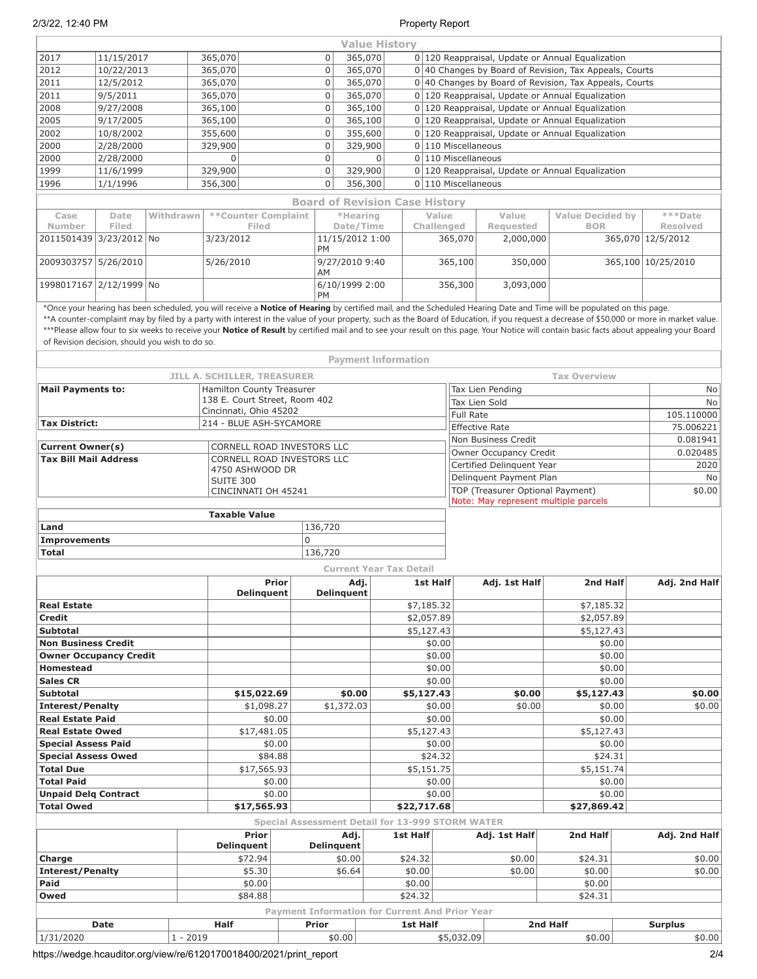2/3/22, 12:40 PM Property Report

|                                                 |             |            |                                                         |                        |                                                         | <b>Value History</b>           |             |                  |                                                  |                                                                          |                                                                                                                                                                                                                                                                                                                                                                                        |                    |  |  |  |
|-------------------------------------------------|-------------|------------|---------------------------------------------------------|------------------------|---------------------------------------------------------|--------------------------------|-------------|------------------|--------------------------------------------------|--------------------------------------------------------------------------|----------------------------------------------------------------------------------------------------------------------------------------------------------------------------------------------------------------------------------------------------------------------------------------------------------------------------------------------------------------------------------------|--------------------|--|--|--|
| 2017                                            | 11/15/2017  |            | 365,070                                                 |                        | $\mathbf 0$                                             | 365,070                        |             |                  |                                                  |                                                                          | 0 120 Reappraisal, Update or Annual Equalization                                                                                                                                                                                                                                                                                                                                       |                    |  |  |  |
| 2012                                            | 10/22/2013  |            | 365,070                                                 |                        | $\mathbf 0$                                             | 365,070                        |             |                  |                                                  |                                                                          | $0 40$ Changes by Board of Revision, Tax Appeals, Courts                                                                                                                                                                                                                                                                                                                               |                    |  |  |  |
| 2011                                            | 12/5/2012   |            | 365,070                                                 |                        | $\mathsf{O}$                                            | 365,070                        |             |                  |                                                  |                                                                          | 0 40 Changes by Board of Revision, Tax Appeals, Courts                                                                                                                                                                                                                                                                                                                                 |                    |  |  |  |
| 2011                                            | 9/5/2011    |            | 365,070                                                 |                        | $\mathbf 0$                                             | 365,070                        |             |                  |                                                  |                                                                          | 0 120 Reappraisal, Update or Annual Equalization                                                                                                                                                                                                                                                                                                                                       |                    |  |  |  |
| 2008                                            | 9/27/2008   |            | 365,100                                                 |                        | $\mathsf 0$                                             | 365,100                        |             |                  | 0 120 Reappraisal, Update or Annual Equalization |                                                                          |                                                                                                                                                                                                                                                                                                                                                                                        |                    |  |  |  |
| 2005                                            | 9/17/2005   |            | 365,100                                                 |                        | $\mathbf 0$                                             | 365,100                        |             |                  |                                                  |                                                                          | 0 120 Reappraisal, Update or Annual Equalization                                                                                                                                                                                                                                                                                                                                       |                    |  |  |  |
| 2002                                            | 10/8/2002   |            | 355,600                                                 |                        | $\mathbf 0$                                             | 355,600                        |             |                  | 0 120 Reappraisal, Update or Annual Equalization |                                                                          |                                                                                                                                                                                                                                                                                                                                                                                        |                    |  |  |  |
| 2000                                            | 2/28/2000   |            | 329,900                                                 |                        | $\mathsf 0$                                             | 329,900                        |             |                  | $0 110$ Miscellaneous                            |                                                                          |                                                                                                                                                                                                                                                                                                                                                                                        |                    |  |  |  |
| 2000                                            | 2/28/2000   |            | $\mathbf 0$                                             |                        | $\mathbf 0$                                             | $\Omega$                       |             |                  | 0 110 Miscellaneous                              |                                                                          |                                                                                                                                                                                                                                                                                                                                                                                        |                    |  |  |  |
| 1999                                            | 11/6/1999   |            | 329,900                                                 |                        |                                                         |                                |             |                  |                                                  |                                                                          | 0 120 Reappraisal, Update or Annual Equalization                                                                                                                                                                                                                                                                                                                                       |                    |  |  |  |
| 1996                                            | 1/1/1996    |            | 356,300                                                 | $\mathbf 0$<br>356,300 |                                                         |                                |             |                  |                                                  | 0 110 Miscellaneous                                                      |                                                                                                                                                                                                                                                                                                                                                                                        |                    |  |  |  |
|                                                 |             |            |                                                         |                        | <b>Board of Revision Case History</b>                   |                                |             |                  |                                                  |                                                                          |                                                                                                                                                                                                                                                                                                                                                                                        |                    |  |  |  |
| Case                                            | Date        | Withdrawn  | **Counter Complaint                                     |                        |                                                         | *Hearing                       |             | Value            |                                                  | Value                                                                    | <b>Value Decided by</b>                                                                                                                                                                                                                                                                                                                                                                | ***Date            |  |  |  |
| Number                                          | Filed       |            | Filed                                                   |                        |                                                         | Date/Time                      |             | Challenged       |                                                  | Requested                                                                | <b>BOR</b>                                                                                                                                                                                                                                                                                                                                                                             | <b>Resolved</b>    |  |  |  |
| 2011501439 3/23/2012 No                         |             |            | 3/23/2012                                               |                        | 11/15/2012 1:00                                         |                                |             |                  | 365,070                                          | 2,000,000                                                                |                                                                                                                                                                                                                                                                                                                                                                                        | 365,070 12/5/2012  |  |  |  |
|                                                 |             |            |                                                         |                        | PM                                                      |                                |             |                  |                                                  |                                                                          |                                                                                                                                                                                                                                                                                                                                                                                        |                    |  |  |  |
| 2009303757 5/26/2010                            |             |            | 5/26/2010                                               |                        | 9/27/2010 9:40<br>AM                                    |                                |             |                  | 365,100                                          | 350,000                                                                  |                                                                                                                                                                                                                                                                                                                                                                                        | 365,100 10/25/2010 |  |  |  |
| 1998017167 2/12/1999 No                         |             |            |                                                         |                        | 6/10/1999 2:00<br><b>PM</b>                             |                                |             |                  | 356,300                                          | 3,093,000                                                                |                                                                                                                                                                                                                                                                                                                                                                                        |                    |  |  |  |
|                                                 |             |            |                                                         |                        |                                                         |                                |             |                  |                                                  |                                                                          | *Once your hearing has been scheduled, you will receive a Notice of Hearing by certified mail, and the Scheduled Hearing Date and Time will be populated on this page.                                                                                                                                                                                                                 |                    |  |  |  |
| of Revision decision, should you wish to do so. |             |            |                                                         |                        |                                                         |                                |             |                  |                                                  |                                                                          | **A counter-complaint may by filed by a party with interest in the value of your property, such as the Board of Education, if you request a decrease of \$50,000 or more in market value.<br>***Please allow four to six weeks to receive your Notice of Result by certified mail and to see your result on this page. Your Notice will contain basic facts about appealing your Board |                    |  |  |  |
|                                                 |             |            |                                                         |                        |                                                         | <b>Payment Information</b>     |             |                  |                                                  |                                                                          |                                                                                                                                                                                                                                                                                                                                                                                        |                    |  |  |  |
|                                                 |             |            | JILL A. SCHILLER, TREASURER                             |                        |                                                         |                                |             |                  |                                                  |                                                                          | <b>Tax Overview</b>                                                                                                                                                                                                                                                                                                                                                                    |                    |  |  |  |
| <b>Mail Payments to:</b>                        |             |            | Hamilton County Treasurer                               |                        |                                                         |                                |             |                  |                                                  | Tax Lien Pending                                                         |                                                                                                                                                                                                                                                                                                                                                                                        | No                 |  |  |  |
|                                                 |             |            | 138 E. Court Street, Room 402<br>Cincinnati, Ohio 45202 |                        |                                                         |                                |             |                  |                                                  | Tax Lien Sold                                                            |                                                                                                                                                                                                                                                                                                                                                                                        | No                 |  |  |  |
| <b>Tax District:</b>                            |             |            | 214 - BLUE ASH-SYCAMORE                                 |                        |                                                         |                                |             |                  | <b>Full Rate</b>                                 |                                                                          |                                                                                                                                                                                                                                                                                                                                                                                        | 105.110000         |  |  |  |
|                                                 |             |            |                                                         |                        |                                                         |                                |             |                  |                                                  | <b>Effective Rate</b>                                                    |                                                                                                                                                                                                                                                                                                                                                                                        | 75.006221          |  |  |  |
| <b>Current Owner(s)</b>                         |             |            | CORNELL ROAD INVESTORS LLC                              |                        |                                                         |                                |             |                  |                                                  | Non Business Credit                                                      |                                                                                                                                                                                                                                                                                                                                                                                        | 0.081941           |  |  |  |
| <b>Tax Bill Mail Address</b>                    |             |            | CORNELL ROAD INVESTORS LLC                              |                        |                                                         |                                |             |                  |                                                  | Owner Occupancy Credit                                                   |                                                                                                                                                                                                                                                                                                                                                                                        | 0.020485           |  |  |  |
|                                                 |             |            | 4750 ASHWOOD DR                                         |                        |                                                         |                                |             |                  |                                                  | Certified Delinquent Year                                                |                                                                                                                                                                                                                                                                                                                                                                                        | 2020               |  |  |  |
|                                                 |             |            | SUITE 300                                               |                        |                                                         |                                |             |                  |                                                  | Delinquent Payment Plan                                                  |                                                                                                                                                                                                                                                                                                                                                                                        | No                 |  |  |  |
|                                                 |             |            | CINCINNATI OH 45241                                     |                        |                                                         |                                |             |                  |                                                  | TOP (Treasurer Optional Payment)<br>Note: May represent multiple parcels |                                                                                                                                                                                                                                                                                                                                                                                        | \$0.00             |  |  |  |
|                                                 |             |            | <b>Taxable Value</b>                                    |                        |                                                         |                                |             |                  |                                                  |                                                                          |                                                                                                                                                                                                                                                                                                                                                                                        |                    |  |  |  |
| Land                                            |             |            |                                                         |                        | 136,720                                                 |                                |             |                  |                                                  |                                                                          |                                                                                                                                                                                                                                                                                                                                                                                        |                    |  |  |  |
| <b>Improvements</b>                             |             |            |                                                         | $\overline{0}$         |                                                         |                                |             |                  |                                                  |                                                                          |                                                                                                                                                                                                                                                                                                                                                                                        |                    |  |  |  |
| <b>Total</b>                                    |             |            |                                                         |                        | 136,720                                                 |                                |             |                  |                                                  |                                                                          |                                                                                                                                                                                                                                                                                                                                                                                        |                    |  |  |  |
|                                                 |             |            |                                                         |                        |                                                         | <b>Current Year Tax Detail</b> |             |                  |                                                  |                                                                          |                                                                                                                                                                                                                                                                                                                                                                                        |                    |  |  |  |
|                                                 |             |            |                                                         | <b>Prior</b>           |                                                         | Adj.                           |             | 1st Half         |                                                  | Adj. 1st Half                                                            | 2nd Half                                                                                                                                                                                                                                                                                                                                                                               | Adj. 2nd Half      |  |  |  |
|                                                 |             |            | <b>Delinquent</b>                                       |                        | <b>Delinquent</b>                                       |                                |             |                  |                                                  |                                                                          |                                                                                                                                                                                                                                                                                                                                                                                        |                    |  |  |  |
| <b>Real Estate</b>                              |             |            |                                                         |                        |                                                         |                                |             | \$7,185.32       |                                                  |                                                                          | \$7,185.32                                                                                                                                                                                                                                                                                                                                                                             |                    |  |  |  |
| <b>Credit</b><br><b>Subtotal</b>                |             |            |                                                         |                        |                                                         |                                |             | \$2,057.89       |                                                  |                                                                          | \$2,057.89                                                                                                                                                                                                                                                                                                                                                                             |                    |  |  |  |
| <b>Non Business Credit</b>                      |             |            |                                                         |                        |                                                         |                                |             | \$5,127.43       |                                                  |                                                                          | \$5,127.43                                                                                                                                                                                                                                                                                                                                                                             |                    |  |  |  |
| <b>Owner Occupancy Credit</b>                   |             |            |                                                         |                        |                                                         |                                |             | \$0.00<br>\$0.00 |                                                  |                                                                          | \$0.00                                                                                                                                                                                                                                                                                                                                                                                 |                    |  |  |  |
| <b>Homestead</b>                                |             |            |                                                         |                        |                                                         |                                |             | \$0.00           |                                                  |                                                                          | \$0.00<br>\$0.00                                                                                                                                                                                                                                                                                                                                                                       |                    |  |  |  |
| <b>Sales CR</b>                                 |             |            |                                                         |                        |                                                         |                                |             | \$0.00           |                                                  |                                                                          | \$0.00                                                                                                                                                                                                                                                                                                                                                                                 |                    |  |  |  |
| <b>Subtotal</b>                                 |             |            | \$15,022.69                                             |                        | \$0.00                                                  |                                | \$5,127.43  |                  |                                                  | \$0.00                                                                   | \$5,127.43                                                                                                                                                                                                                                                                                                                                                                             | \$0.00             |  |  |  |
| <b>Interest/Penalty</b>                         |             |            | \$1,098.27                                              |                        | \$1,372.03                                              |                                |             | \$0.00           |                                                  | \$0.00                                                                   | \$0.00                                                                                                                                                                                                                                                                                                                                                                                 | \$0.00             |  |  |  |
| <b>Real Estate Paid</b>                         |             |            |                                                         | \$0.00                 |                                                         |                                |             | \$0.00           |                                                  |                                                                          | \$0.00                                                                                                                                                                                                                                                                                                                                                                                 |                    |  |  |  |
| <b>Real Estate Owed</b>                         |             |            | \$17,481.05                                             |                        |                                                         |                                |             | \$5,127.43       |                                                  |                                                                          | \$5,127.43                                                                                                                                                                                                                                                                                                                                                                             |                    |  |  |  |
| <b>Special Assess Paid</b>                      |             |            |                                                         | \$0.00                 |                                                         |                                |             | \$0.00           |                                                  |                                                                          | \$0.00                                                                                                                                                                                                                                                                                                                                                                                 |                    |  |  |  |
| <b>Special Assess Owed</b>                      |             |            |                                                         | \$84.88                |                                                         |                                |             | \$24.32          |                                                  |                                                                          | \$24.31                                                                                                                                                                                                                                                                                                                                                                                |                    |  |  |  |
| <b>Total Due</b>                                |             |            | \$17,565.93                                             |                        |                                                         |                                |             | \$5,151.75       |                                                  |                                                                          | \$5,151.74                                                                                                                                                                                                                                                                                                                                                                             |                    |  |  |  |
| <b>Total Paid</b><br>\$0.00                     |             |            |                                                         |                        |                                                         |                                |             | \$0.00           |                                                  |                                                                          | \$0.00                                                                                                                                                                                                                                                                                                                                                                                 |                    |  |  |  |
| <b>Unpaid Delg Contract</b>                     |             |            |                                                         | \$0.00                 |                                                         |                                |             | \$0.00           |                                                  |                                                                          | \$0.00                                                                                                                                                                                                                                                                                                                                                                                 |                    |  |  |  |
| <b>Total Owed</b>                               |             |            | \$17,565.93                                             |                        |                                                         |                                | \$22,717.68 |                  |                                                  |                                                                          | \$27,869.42                                                                                                                                                                                                                                                                                                                                                                            |                    |  |  |  |
|                                                 |             |            |                                                         |                        | <b>Special Assessment Detail for 13-999 STORM WATER</b> |                                |             |                  |                                                  |                                                                          |                                                                                                                                                                                                                                                                                                                                                                                        |                    |  |  |  |
|                                                 |             |            | Prior                                                   |                        | Adj.                                                    |                                | 1st Half    |                  |                                                  | Adj. 1st Half                                                            | 2nd Half                                                                                                                                                                                                                                                                                                                                                                               | Adj. 2nd Half      |  |  |  |
|                                                 |             |            | <b>Delinquent</b>                                       |                        | <b>Delinquent</b>                                       |                                |             |                  |                                                  |                                                                          |                                                                                                                                                                                                                                                                                                                                                                                        |                    |  |  |  |
| Charge                                          |             |            | \$72.94                                                 |                        | \$0.00                                                  |                                | \$24.32     |                  |                                                  | \$0.00                                                                   | \$24.31                                                                                                                                                                                                                                                                                                                                                                                | \$0.00             |  |  |  |
| <b>Interest/Penalty</b>                         |             |            | \$5.30                                                  |                        | \$6.64                                                  |                                | \$0.00      |                  |                                                  | \$0.00                                                                   | \$0.00                                                                                                                                                                                                                                                                                                                                                                                 | \$0.00             |  |  |  |
| Paid                                            |             |            | \$0.00                                                  |                        |                                                         |                                | \$0.00      |                  |                                                  |                                                                          | \$0.00                                                                                                                                                                                                                                                                                                                                                                                 |                    |  |  |  |
| Owed                                            |             |            | \$84.88                                                 |                        |                                                         |                                | \$24.32     |                  |                                                  |                                                                          | \$24.31                                                                                                                                                                                                                                                                                                                                                                                |                    |  |  |  |
|                                                 |             |            |                                                         |                        | <b>Payment Information for Current And Prior Year</b>   |                                |             |                  |                                                  |                                                                          |                                                                                                                                                                                                                                                                                                                                                                                        |                    |  |  |  |
|                                                 | <b>Date</b> |            | <b>Half</b>                                             |                        | Prior                                                   |                                | 1st Half    |                  |                                                  |                                                                          | 2nd Half                                                                                                                                                                                                                                                                                                                                                                               | <b>Surplus</b>     |  |  |  |
| 1/31/2020                                       |             | $1 - 2019$ |                                                         |                        | \$0.00                                                  |                                |             |                  | \$5,032.09                                       |                                                                          | \$0.00                                                                                                                                                                                                                                                                                                                                                                                 | \$0.00             |  |  |  |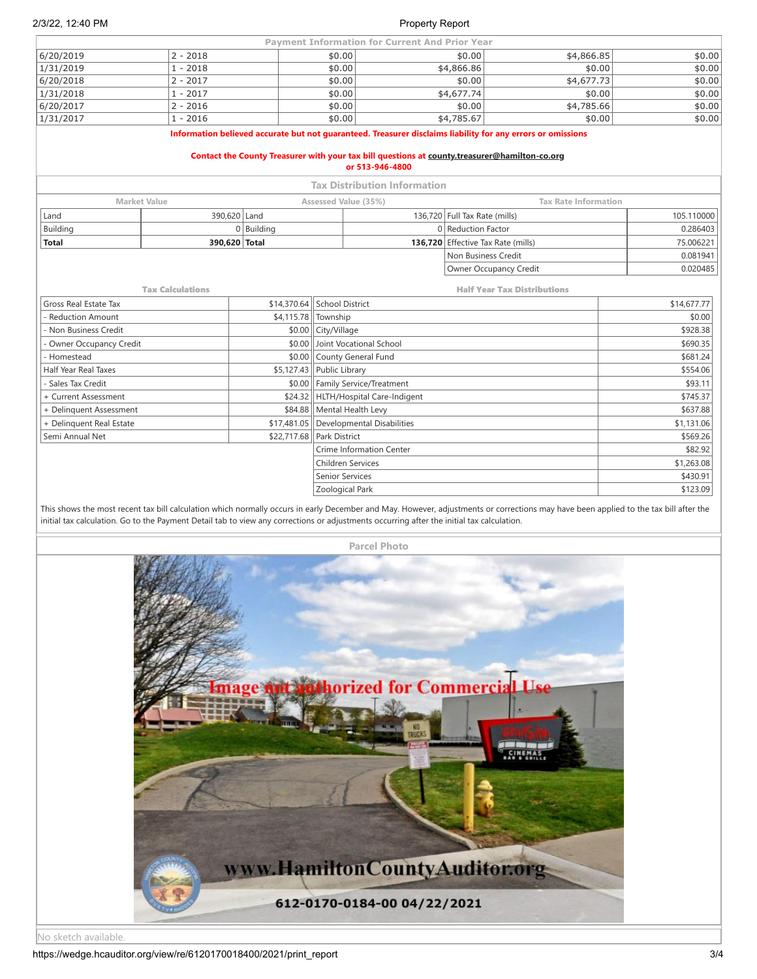|                                                                                                                                                                                                                                 |                         |                             |                                    | <b>Payment Information for Current And Prior Year</b> |                               |                             |             |  |  |  |  |
|---------------------------------------------------------------------------------------------------------------------------------------------------------------------------------------------------------------------------------|-------------------------|-----------------------------|------------------------------------|-------------------------------------------------------|-------------------------------|-----------------------------|-------------|--|--|--|--|
| 6/20/2019                                                                                                                                                                                                                       | $2 - 2018$              |                             | \$0.00                             |                                                       | \$0.00                        | \$4,866.85                  | \$0.00      |  |  |  |  |
| 1/31/2019                                                                                                                                                                                                                       | $1 - 2018$              |                             | \$0.00                             |                                                       | \$4,866.86                    | \$0.00                      | \$0.00      |  |  |  |  |
| 6/20/2018                                                                                                                                                                                                                       | $2 - 2017$              |                             | \$0.00                             |                                                       | \$0.00                        | \$4,677.73                  | \$0.00      |  |  |  |  |
| 1/31/2018                                                                                                                                                                                                                       | $1 - 2017$              |                             | \$0.00                             |                                                       | \$4,677.74                    | \$0.00                      | \$0.00      |  |  |  |  |
| 6/20/2017                                                                                                                                                                                                                       | $2 - 2016$              |                             | \$0.00                             |                                                       | \$0.00                        | \$4,785.66                  | \$0.00      |  |  |  |  |
| 1/31/2017                                                                                                                                                                                                                       | $1 - 2016$              | \$0.00                      |                                    | \$4,785.67                                            | \$0.00                        | \$0.00                      |             |  |  |  |  |
| Information believed accurate but not quaranteed. Treasurer disclaims liability for any errors or omissions<br>Contact the County Treasurer with your tax bill questions at county.treasurer@hamilton-co.org<br>or 513-946-4800 |                         |                             |                                    |                                                       |                               |                             |             |  |  |  |  |
|                                                                                                                                                                                                                                 |                         |                             |                                    | <b>Tax Distribution Information</b>                   |                               |                             |             |  |  |  |  |
| <b>Market Value</b>                                                                                                                                                                                                             |                         |                             | Assessed Value (35%)               |                                                       |                               | <b>Tax Rate Information</b> |             |  |  |  |  |
| Land                                                                                                                                                                                                                            | 390.620 Land            |                             |                                    |                                                       | 136,720 Full Tax Rate (mills) |                             | 105.110000  |  |  |  |  |
| Building                                                                                                                                                                                                                        |                         | $0$ Building                |                                    |                                                       | 0 Reduction Factor            |                             | 0.286403    |  |  |  |  |
| <b>Total</b>                                                                                                                                                                                                                    | 390,620 Total           |                             |                                    | 136.720                                               | Effective Tax Rate (mills)    |                             | 75.006221   |  |  |  |  |
|                                                                                                                                                                                                                                 |                         |                             |                                    |                                                       | Non Business Credit           |                             | 0.081941    |  |  |  |  |
|                                                                                                                                                                                                                                 |                         |                             |                                    |                                                       |                               | Owner Occupancy Credit      | 0.020485    |  |  |  |  |
|                                                                                                                                                                                                                                 | <b>Tax Calculations</b> |                             | <b>Half Year Tax Distributions</b> |                                                       |                               |                             |             |  |  |  |  |
| Gross Real Estate Tax                                                                                                                                                                                                           |                         | \$14,370.64 School District |                                    |                                                       |                               |                             | \$14,677.77 |  |  |  |  |
| <b>Reduction Amount</b>                                                                                                                                                                                                         |                         | \$4,115.78                  | Township                           |                                                       |                               | \$0.00                      |             |  |  |  |  |
| Non Business Credit                                                                                                                                                                                                             |                         | \$0.00                      | City/Village                       |                                                       |                               | \$928.38                    |             |  |  |  |  |
| Owner Occupancy Credit                                                                                                                                                                                                          |                         | \$0.00                      |                                    | Joint Vocational School                               |                               | \$690.35                    |             |  |  |  |  |
| Homestead                                                                                                                                                                                                                       |                         |                             |                                    | \$0.00 County General Fund                            |                               | \$681.24                    |             |  |  |  |  |
| Half Year Real Taxes                                                                                                                                                                                                            |                         | \$5,127.43                  | Public Library                     |                                                       |                               | \$554.06                    |             |  |  |  |  |
| Sales Tax Credit                                                                                                                                                                                                                |                         | \$0.00                      |                                    | Family Service/Treatment                              |                               | \$93.11                     |             |  |  |  |  |
| + Current Assessment                                                                                                                                                                                                            |                         | \$24.32                     |                                    | HLTH/Hospital Care-Indigent                           |                               | \$745.37                    |             |  |  |  |  |
| + Delinquent Assessment                                                                                                                                                                                                         |                         | \$84.88                     |                                    | Mental Health Levy                                    |                               |                             | \$637.88    |  |  |  |  |
| + Delinguent Real Estate                                                                                                                                                                                                        |                         | \$17,481.05                 |                                    | <b>Developmental Disabilities</b>                     |                               | \$1,131.06                  |             |  |  |  |  |
| Semi Annual Net                                                                                                                                                                                                                 |                         | \$22,717.68                 | Park District                      |                                                       |                               | \$569.26                    |             |  |  |  |  |
|                                                                                                                                                                                                                                 |                         |                             |                                    | Crime Information Center                              |                               | \$82.92                     |             |  |  |  |  |
|                                                                                                                                                                                                                                 |                         |                             | <b>Children Services</b>           |                                                       |                               |                             | \$1,263.08  |  |  |  |  |
|                                                                                                                                                                                                                                 |                         |                             |                                    | <b>Senior Services</b>                                |                               | \$430.91                    |             |  |  |  |  |
|                                                                                                                                                                                                                                 |                         |                             | Zoological Park                    |                                                       |                               | \$123.09                    |             |  |  |  |  |

This shows the most recent tax bill calculation which normally occurs in early December and May. However, adjustments or corrections may have been applied to the tax bill after the initial tax calculation. Go to the Payment Detail tab to view any corrections or adjustments occurring after the initial tax calculation.



No sketch available.